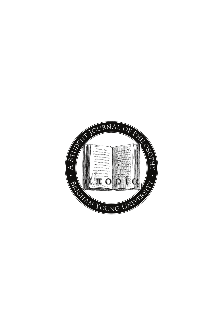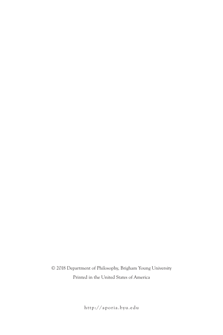© 2018 Department of Philosophy, Brigham Young University Printed in the United States of America

http://aporia.byu.edu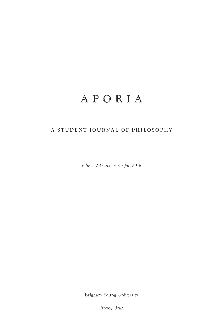# APORIA

## **A STUDENT JOURNAL OF PHILOSOPHY**

*volume 28 number 2 • fall 2018*

Brigham Young University

Provo, Utah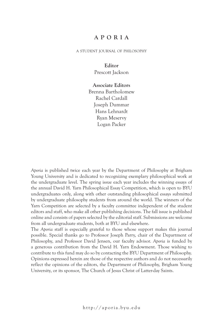### **APORIA**

#### a student journal of philosophy

### **Editor** Prescott Jackson

**Associate Editors** Brenna Bartholomew Rachel Cardall Joseph Dummar Hans Lehnardt Ryan Meservy Logan Packer

*Aporia* is published twice each year by the Department of Philosophy at Brigham Young University and is dedicated to recognizing exemplary philosophical work at the undergraduate level. The spring issue each year includes the winning essays of the annual David H. Yarn Philosophical Essay Competition, which is open to BYU undergraduates only, along with other outstanding philosophical essays submitted by undergraduate philosophy students from around the world. The winners of the Yarn Competition are selected by a faculty committee independent of the student editors and staff, who make all other publishing decisions. The fall issue is published online and consists of papers selected by the editorial staff. Submissions are welcome from all undergraduate students, both at BYU and elsewhere.

The *Aporia* staff is especially grateful to those whose support makes this journal possible. Special thanks go to Professor Joseph Parry, chair of the Department of Philosophy, and Professor David Jensen, our faculty advisor. *Aporia* is funded by a generous contribution from the David H. Yarn Endowment. Those wishing to contribute to this fund may do so by contacting the BYU Department of Philosophy. Opinions expressed herein are those of the respective authors and do not necessarily reflect the opinions of the editors, the Department of Philosophy, Brigham Young University, or its sponsor, The Church of Jesus Christ of Latter-day Saints.